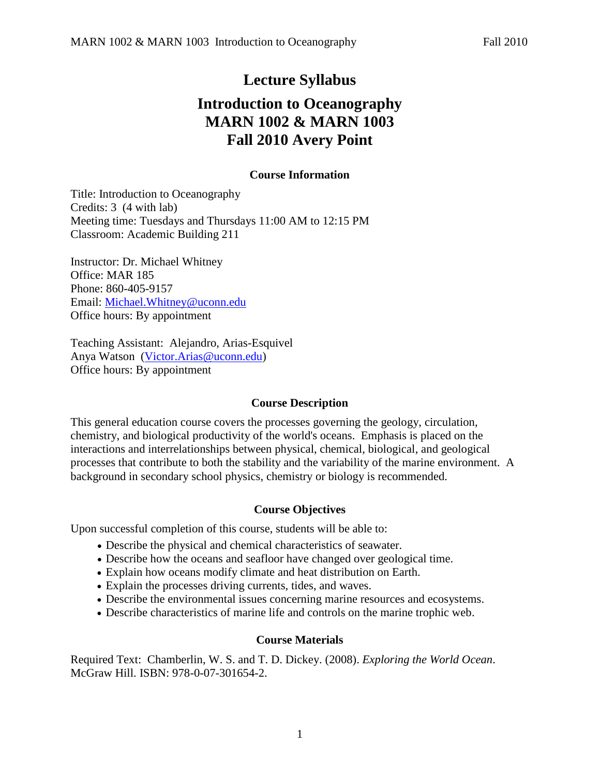## **Lecture Syllabus**

# **Introduction to Oceanography MARN 1002 & MARN 1003 Fall 2010 Avery Point**

## **Course Information**

Title: Introduction to Oceanography Credits: 3 (4 with lab) Meeting time: Tuesdays and Thursdays 11:00 AM to 12:15 PM Classroom: Academic Building 211

Instructor: Dr. Michael Whitney Office: MAR 185 Phone: 860-405-9157 Email: [Michael.Whitney@uconn.edu](mailto:Michael.Whitney@uconn.edu) Office hours: By appointment

Teaching Assistant: Alejandro, Arias-Esquivel Anya Watson [\(Victor.Arias@uconn.edu\)](mailto:Victor.Arias@uconn.edu) Office hours: By appointment

#### **Course Description**

This general education course covers the processes governing the geology, circulation, chemistry, and biological productivity of the world's oceans. Emphasis is placed on the interactions and interrelationships between physical, chemical, biological, and geological processes that contribute to both the stability and the variability of the marine environment. A background in secondary school physics, chemistry or biology is recommended.

#### **Course Objectives**

Upon successful completion of this course, students will be able to:

- Describe the physical and chemical characteristics of seawater.
- Describe how the oceans and seafloor have changed over geological time.
- Explain how oceans modify climate and heat distribution on Earth.
- Explain the processes driving currents, tides, and waves.
- Describe the environmental issues concerning marine resources and ecosystems.
- Describe characteristics of marine life and controls on the marine trophic web.

#### **Course Materials**

Required Text: Chamberlin, W. S. and T. D. Dickey. (2008). *Exploring the World Ocean*. McGraw Hill. ISBN: 978-0-07-301654-2.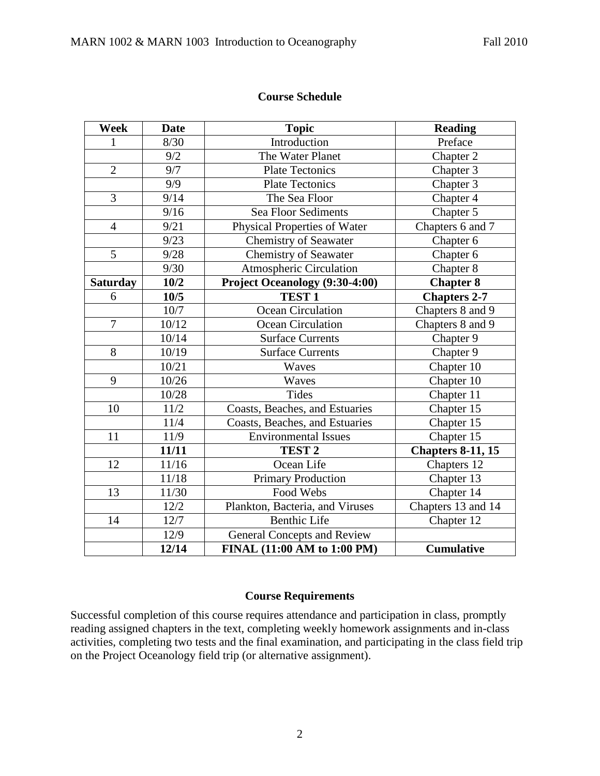#### **Course Schedule**

| Week            | <b>Date</b> | <b>Topic</b>                                       | <b>Reading</b>           |  |
|-----------------|-------------|----------------------------------------------------|--------------------------|--|
| 1               | 8/30        | Introduction<br>Preface                            |                          |  |
|                 | 9/2         | The Water Planet                                   | Chapter 2                |  |
| $\overline{2}$  | 9/7         | <b>Plate Tectonics</b><br>Chapter 3                |                          |  |
|                 | 9/9         | <b>Plate Tectonics</b>                             | Chapter 3                |  |
| 3               | 9/14        | The Sea Floor                                      | Chapter 4                |  |
|                 | 9/16        | <b>Sea Floor Sediments</b>                         | Chapter 5                |  |
| $\overline{4}$  | 9/21        | <b>Physical Properties of Water</b>                | Chapters 6 and 7         |  |
|                 | 9/23        | <b>Chemistry of Seawater</b>                       | Chapter 6                |  |
| 5               | 9/28        | <b>Chemistry of Seawater</b>                       | Chapter <sub>6</sub>     |  |
|                 | 9/30        | <b>Atmospheric Circulation</b>                     | Chapter 8                |  |
| <b>Saturday</b> | 10/2        | Project Oceanology (9:30-4:00)<br><b>Chapter 8</b> |                          |  |
| 6               | 10/5        | <b>TEST 1</b>                                      | <b>Chapters 2-7</b>      |  |
|                 | 10/7        | <b>Ocean Circulation</b>                           | Chapters 8 and 9         |  |
| $\overline{7}$  | 10/12       | Ocean Circulation                                  | Chapters 8 and 9         |  |
|                 | 10/14       | <b>Surface Currents</b>                            | Chapter 9                |  |
| 8               | 10/19       | <b>Surface Currents</b>                            | Chapter 9                |  |
|                 | 10/21       | Waves                                              | Chapter 10               |  |
| 9               | 10/26       | Waves                                              | Chapter 10               |  |
|                 | 10/28       | <b>Tides</b>                                       | Chapter 11               |  |
| 10              | 11/2        | Coasts, Beaches, and Estuaries                     | Chapter 15               |  |
|                 | 11/4        | Coasts, Beaches, and Estuaries                     | Chapter 15               |  |
| 11              | 11/9        | <b>Environmental Issues</b>                        | Chapter 15               |  |
|                 | 11/11       | TEST <sub>2</sub>                                  | <b>Chapters 8-11, 15</b> |  |
| 12              | 11/16       | Ocean Life                                         | Chapters 12              |  |
|                 | 11/18       | <b>Primary Production</b>                          | Chapter 13               |  |
| 13              | 11/30       | Food Webs                                          | Chapter 14               |  |
|                 | 12/2        | Plankton, Bacteria, and Viruses                    | Chapters 13 and 14       |  |
| 14              | 12/7        | <b>Benthic Life</b>                                | Chapter 12               |  |
|                 | 12/9        | <b>General Concepts and Review</b>                 |                          |  |
|                 | 12/14       | FINAL (11:00 AM to 1:00 PM)                        | <b>Cumulative</b>        |  |

#### **Course Requirements**

Successful completion of this course requires attendance and participation in class, promptly reading assigned chapters in the text, completing weekly homework assignments and in-class activities, completing two tests and the final examination, and participating in the class field trip on the Project Oceanology field trip (or alternative assignment).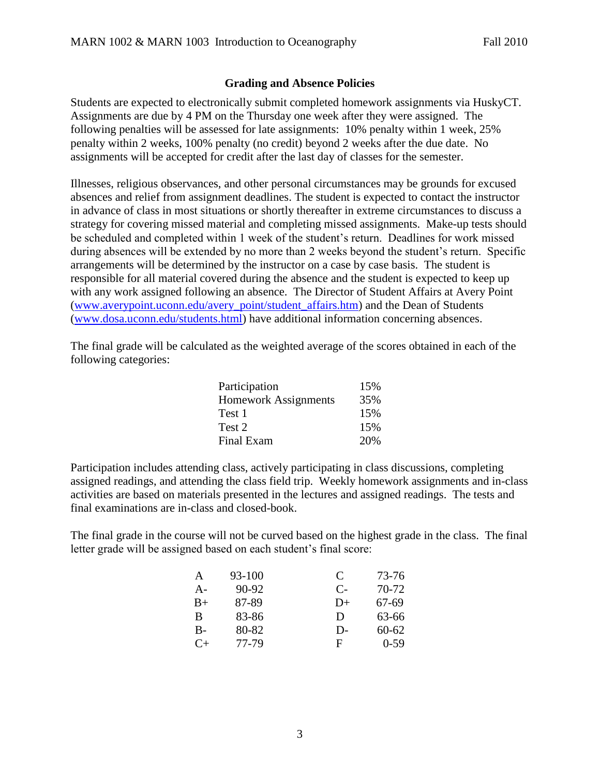### **Grading and Absence Policies**

Students are expected to electronically submit completed homework assignments via HuskyCT. Assignments are due by 4 PM on the Thursday one week after they were assigned. The following penalties will be assessed for late assignments: 10% penalty within 1 week, 25% penalty within 2 weeks, 100% penalty (no credit) beyond 2 weeks after the due date. No assignments will be accepted for credit after the last day of classes for the semester.

Illnesses, religious observances, and other personal circumstances may be grounds for excused absences and relief from assignment deadlines. The student is expected to contact the instructor in advance of class in most situations or shortly thereafter in extreme circumstances to discuss a strategy for covering missed material and completing missed assignments. Make-up tests should be scheduled and completed within 1 week of the student's return. Deadlines for work missed during absences will be extended by no more than 2 weeks beyond the student's return. Specific arrangements will be determined by the instructor on a case by case basis. The student is responsible for all material covered during the absence and the student is expected to keep up with any work assigned following an absence. The Director of Student Affairs at Avery Point [\(www.averypoint.uconn.edu/avery\\_point/student\\_affairs.htm\)](http://www.averypoint.uconn.edu/avery_point/student_affairs.htm) and the Dean of Students [\(www.dosa.uconn.edu/students.html\)](http://www.dosa.uconn.edu/students.html) have additional information concerning absences.

The final grade will be calculated as the weighted average of the scores obtained in each of the following categories:

| Participation               | 15% |
|-----------------------------|-----|
| <b>Homework Assignments</b> | 35% |
| Test 1                      | 15% |
| Test 2                      | 15% |
| Final Exam                  | 20% |

Participation includes attending class, actively participating in class discussions, completing assigned readings, and attending the class field trip. Weekly homework assignments and in-class activities are based on materials presented in the lectures and assigned readings. The tests and final examinations are in-class and closed-book.

The final grade in the course will not be curved based on the highest grade in the class. The final letter grade will be assigned based on each student's final score:

| A         | 93-100    | C    | 73-76   |
|-----------|-----------|------|---------|
| $A -$     | $90 - 92$ | $C-$ | $70-72$ |
| $B+$      | 87-89     | $D+$ | 67-69   |
| B         | 83-86     | D    | 63-66   |
| $B-$      | 80-82     | D-   | 60-62   |
| $C_{\pm}$ | 77-79     | F    | $0-59$  |